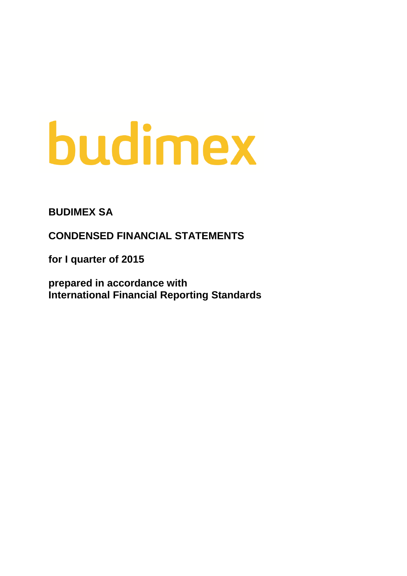# budimex

**BUDIMEX SA**

**CONDENSED FINANCIAL STATEMENTS**

**for I quarter of 2015**

**prepared in accordance with International Financial Reporting Standards**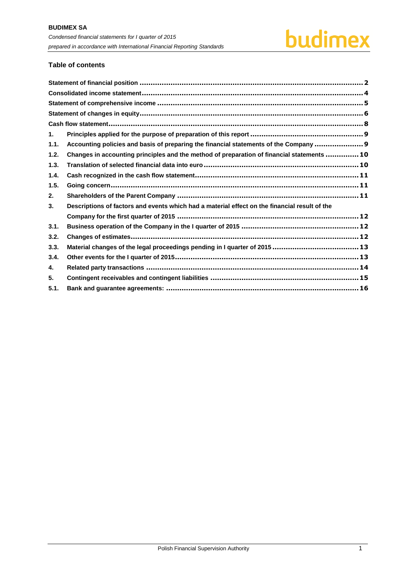# **Table of contents**

| 1.   |                                                                                               |
|------|-----------------------------------------------------------------------------------------------|
| 1.1. | Accounting policies and basis of preparing the financial statements of the Company  9         |
| 1.2. | Changes in accounting principles and the method of preparation of financial statements  10    |
| 1.3. |                                                                                               |
| 1.4. |                                                                                               |
| 1.5. |                                                                                               |
| 2.   |                                                                                               |
| 3.   | Descriptions of factors and events which had a material effect on the financial result of the |
|      |                                                                                               |
| 3.1. |                                                                                               |
| 3.2. |                                                                                               |
| 3.3. | Material changes of the legal proceedings pending in I quarter of 2015  13                    |
| 3.4. |                                                                                               |
| 4.   |                                                                                               |
| 5.   |                                                                                               |
| 5.1. |                                                                                               |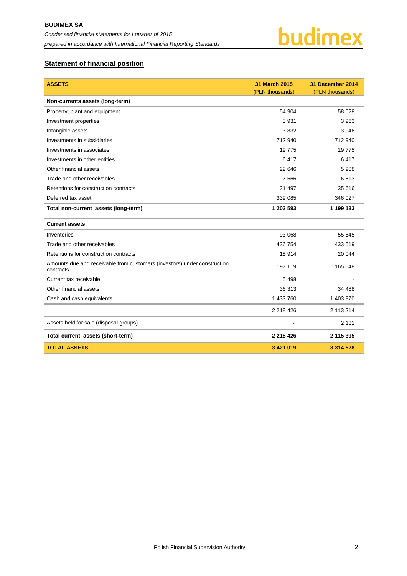

# <span id="page-2-0"></span>**Statement of financial position**

| <b>ASSETS</b>                                                                         | 31 March 2015   | 31 December 2014 |
|---------------------------------------------------------------------------------------|-----------------|------------------|
|                                                                                       | (PLN thousands) | (PLN thousands)  |
| Non-currents assets (long-term)                                                       |                 |                  |
| Property, plant and equipment                                                         | 54 904          | 58 0 28          |
| Investment properties                                                                 | 3 9 3 1         | 3963             |
| Intangible assets                                                                     | 3832            | 3946             |
| Investments in subsidiaries                                                           | 712 940         | 712 940          |
| Investments in associates                                                             | 19775           | 19775            |
| Investments in other entities                                                         | 6417            | 6417             |
| Other financial assets                                                                | 22 646          | 5908             |
| Trade and other receivables                                                           | 7 5 6 6         | 6513             |
| Retentions for construction contracts                                                 | 31 497          | 35 616           |
| Deferred tax asset                                                                    | 339 085         | 346 027          |
| Total non-current assets (long-term)                                                  | 1 202 593       | 1 199 133        |
| <b>Current assets</b>                                                                 |                 |                  |
| Inventories                                                                           | 93 068          | 55 545           |
| Trade and other receivables                                                           | 436 754         | 433 519          |
| Retentions for construction contracts                                                 | 15 914          | 20 044           |
| Amounts due and receivable from customers (investors) under construction<br>contracts | 197 119         | 165 648          |
| Current tax receivable                                                                | 5498            |                  |
| Other financial assets                                                                | 36 313          | 34 488           |
| Cash and cash equivalents                                                             | 1 433 760       | 1 403 970        |
|                                                                                       | 2 2 18 4 26     | 2 113 214        |
| Assets held for sale (disposal groups)                                                |                 | 2 1 8 1          |
| Total current assets (short-term)                                                     | 2 2 18 4 26     | 2 115 395        |
| <b>TOTAL ASSETS</b>                                                                   | 3 4 21 0 19     | 3 3 1 4 5 2 8    |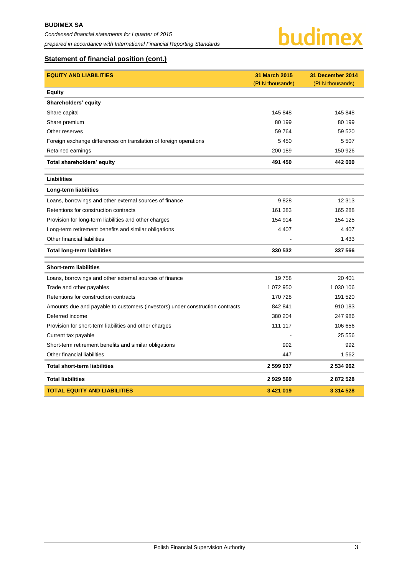

# **Statement of financial position (cont.)**

| <b>EQUITY AND LIABILITIES</b>                                                 | 31 March 2015   | 31 December 2014 |
|-------------------------------------------------------------------------------|-----------------|------------------|
|                                                                               | (PLN thousands) | (PLN thousands)  |
| <b>Equity</b>                                                                 |                 |                  |
| Shareholders' equity                                                          |                 |                  |
| Share capital                                                                 | 145 848         | 145 848          |
| Share premium                                                                 | 80 199          | 80 199           |
| Other reserves                                                                | 59 764          | 59 520           |
| Foreign exchange differences on translation of foreign operations             | 5 4 5 0         | 5 5 0 7          |
| Retained earnings                                                             | 200 189         | 150 926          |
| Total shareholders' equity                                                    | 491 450         | 442 000          |
| <b>Liabilities</b>                                                            |                 |                  |
| Long-term liabilities                                                         |                 |                  |
| Loans, borrowings and other external sources of finance                       | 9828            | 12 313           |
| Retentions for construction contracts                                         | 161 383         | 165 288          |
| Provision for long-term liabilities and other charges                         | 154 914         | 154 125          |
| Long-term retirement benefits and similar obligations                         | 4 4 0 7         | 4 4 0 7          |
| Other financial liabilities                                                   |                 | 1 4 3 3          |
| <b>Total long-term liabilities</b>                                            | 330 532         | 337 566          |
| <b>Short-term liabilities</b>                                                 |                 |                  |
| Loans, borrowings and other external sources of finance                       | 19758           | 20 401           |
| Trade and other payables                                                      | 1 072 950       | 1 030 106        |
| Retentions for construction contracts                                         | 170 728         | 191 520          |
| Amounts due and payable to customers (investors) under construction contracts | 842 841         | 910 183          |
| Deferred income                                                               | 380 204         | 247 986          |
| Provision for short-term liabilities and other charges                        | 111 117         | 106 656          |
| Current tax payable                                                           |                 | 25 556           |
| Short-term retirement benefits and similar obligations                        | 992             | 992              |
| Other financial liabilities                                                   | 447             | 1562             |
| <b>Total short-term liabilities</b>                                           | 2 599 037       | 2 534 962        |
| <b>Total liabilities</b>                                                      | 2929569         | 2872528          |
| <b>TOTAL EQUITY AND LIABILITIES</b>                                           | 3 421 019       | 3 3 1 4 5 2 8    |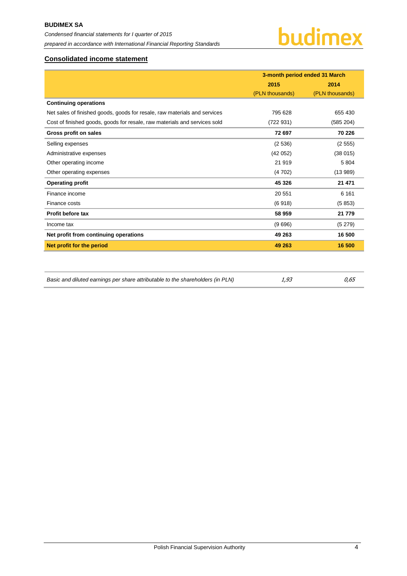

# <span id="page-4-0"></span>**Consolidated income statement**

|                                                                           | 3-month period ended 31 March |                 |  |
|---------------------------------------------------------------------------|-------------------------------|-----------------|--|
|                                                                           | 2015                          | 2014            |  |
|                                                                           | (PLN thousands)               | (PLN thousands) |  |
| <b>Continuing operations</b>                                              |                               |                 |  |
| Net sales of finished goods, goods for resale, raw materials and services | 795 628                       | 655 430         |  |
| Cost of finished goods, goods for resale, raw materials and services sold | (722931)                      | (585 204)       |  |
| Gross profit on sales                                                     | 72 697                        | 70 226          |  |
| Selling expenses                                                          | (2536)                        | (2555)          |  |
| Administrative expenses                                                   | (42 052)                      | (38015)         |  |
| Other operating income                                                    | 21 919                        | 5 8 0 4         |  |
| Other operating expenses                                                  | (4702)                        | (13989)         |  |
| <b>Operating profit</b>                                                   | 45 3 26                       | 21 471          |  |
| Finance income                                                            | 20 551                        | 6 1 6 1         |  |
| Finance costs                                                             | (6918)                        | (5853)          |  |
| Profit before tax                                                         | 58 959                        | 21 779          |  |
| Income tax                                                                | (9696)                        | (5279)          |  |
| Net profit from continuing operations                                     | 49 263                        | 16 500          |  |
| Net profit for the period                                                 | 49 263                        | 16 500          |  |
|                                                                           |                               |                 |  |

| Basic and diluted earnings per share attributable to the shareholders (in PLN) | 1,93 | 0,65 |
|--------------------------------------------------------------------------------|------|------|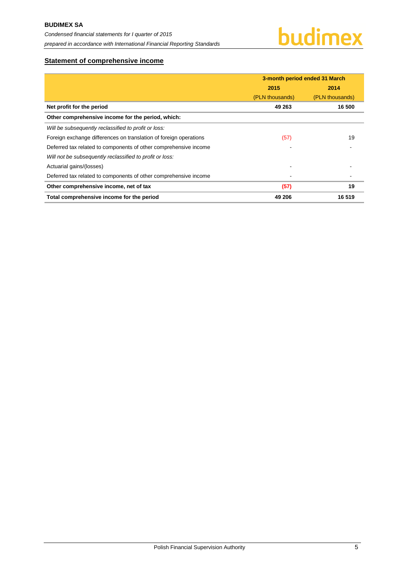# <span id="page-5-0"></span>**Statement of comprehensive income**

|                                                                   | 3-month period ended 31 March |                 |  |
|-------------------------------------------------------------------|-------------------------------|-----------------|--|
|                                                                   | 2015                          | 2014            |  |
|                                                                   | (PLN thousands)               | (PLN thousands) |  |
| Net profit for the period                                         | 49 263                        | 16 500          |  |
| Other comprehensive income for the period, which:                 |                               |                 |  |
| Will be subsequently reclassified to profit or loss:              |                               |                 |  |
| Foreign exchange differences on translation of foreign operations | (57)                          | 19              |  |
| Deferred tax related to components of other comprehensive income  |                               |                 |  |
| Will not be subsequently reclassified to profit or loss:          |                               |                 |  |
| Actuarial gains/(losses)                                          |                               |                 |  |
| Deferred tax related to components of other comprehensive income  |                               |                 |  |
| Other comprehensive income, net of tax                            | (57)                          | 19              |  |
| Total comprehensive income for the period                         | 49 206                        | 16 519          |  |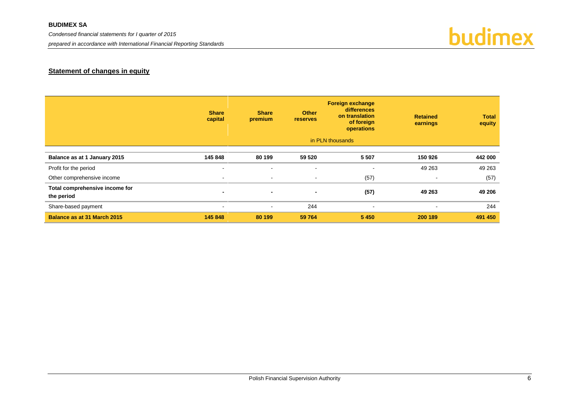## **BUDIMEX SA**

*Condensed financial statements for I quarter of 2015* 

*prepared in accordance with International Financial Reporting Standards*



# **Statement of changes in equity**

<span id="page-6-0"></span>

|                                              | Share<br>capital         | <b>Share</b><br>premium | <b>Other</b><br><b>reserves</b> | <b>Foreign exchange</b><br><b>differences</b><br>on translation<br>of foreign<br>operations<br>in PLN thousands | <b>Retained</b><br>earnings | <b>Total</b><br>equity |
|----------------------------------------------|--------------------------|-------------------------|---------------------------------|-----------------------------------------------------------------------------------------------------------------|-----------------------------|------------------------|
|                                              |                          |                         |                                 |                                                                                                                 |                             |                        |
| Balance as at 1 January 2015                 | 145 848                  | 80 199                  | 59 520                          | 5 5 0 7                                                                                                         | 150 926                     | 442 000                |
| Profit for the period                        | $\overline{\phantom{0}}$ |                         | $\overline{\phantom{a}}$        | $\overline{\phantom{a}}$                                                                                        | 49 263                      | 49 263                 |
| Other comprehensive income                   | $\sim$                   | $\sim$                  | $\sim$                          | (57)                                                                                                            | $\blacksquare$              | (57)                   |
| Total comprehensive income for<br>the period | $\blacksquare$           | $\blacksquare$          | ٠                               | (57)                                                                                                            | 49 263                      | 49 206                 |
| Share-based payment                          | $\sim$                   | $\,$                    | 244                             | $\sim$                                                                                                          | $\blacksquare$              | 244                    |
| <b>Balance as at 31 March 2015</b>           | 145 848                  | 80 199                  | 59 764                          | 5 4 5 0                                                                                                         | 200 189                     | 491 450                |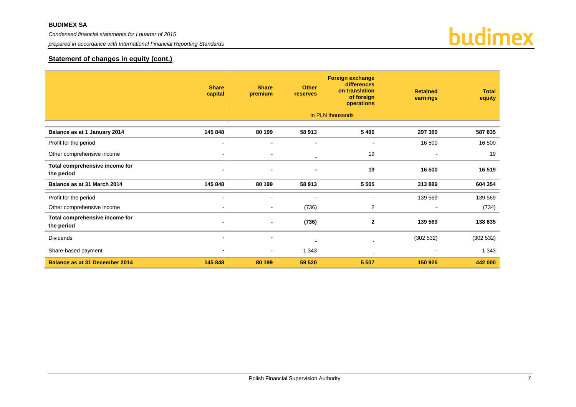*prepared in accordance with International Financial Reporting Standards*



# **Statement of changes in equity (cont.)**

|                                              | <b>Share</b><br>capital  | <b>Share</b><br>premium | <b>Other</b><br>reserves | <b>Foreign exchange</b><br>differences<br>on translation<br>of foreign<br>operations | <b>Retained</b><br>earnings | <b>Total</b><br>equity |
|----------------------------------------------|--------------------------|-------------------------|--------------------------|--------------------------------------------------------------------------------------|-----------------------------|------------------------|
|                                              |                          |                         |                          | in PLN thousands                                                                     |                             |                        |
| Balance as at 1 January 2014                 | 145 848                  | 80 199                  | 58 913                   | 5486                                                                                 | 297 389                     | 587 835                |
| Profit for the period                        | $\blacksquare$           | $\blacksquare$          |                          | $\overline{\phantom{a}}$                                                             | 16 500                      | 16 500                 |
| Other comprehensive income                   | $\overline{\phantom{a}}$ | $\blacksquare$          |                          | 19                                                                                   | $\sim$                      | 19                     |
| Total comprehensive income for<br>the period | $\blacksquare$           | $\blacksquare$          | $\overline{\phantom{a}}$ | 19                                                                                   | 16 500                      | 16 519                 |
| Balance as at 31 March 2014                  | 145 848                  | 80 199                  | 58 913                   | 5 5 0 5                                                                              | 313889                      | 604 354                |
| Profit for the period                        | $\blacksquare$           | $\sim$                  |                          | $\overline{\phantom{a}}$                                                             | 139 569                     | 139 569                |
| Other comprehensive income                   | $\blacksquare$           | $\sim$                  | (736)                    | $\overline{2}$                                                                       | $\blacksquare$              | (734)                  |
| Total comprehensive income for<br>the period | $\blacksquare$           | $\blacksquare$          | (736)                    | 2                                                                                    | 139 569                     | 138 835                |
| <b>Dividends</b>                             | $\blacksquare$           | $\blacksquare$          | $\blacksquare$           |                                                                                      | (302532)                    | (302532)               |
| Share-based payment                          | $\blacksquare$           | $\blacksquare$          | 1 3 4 3                  |                                                                                      | $\blacksquare$              | 1 3 4 3                |
| <b>Balance as at 31 December 2014</b>        | 145 848                  | 80 199                  | 59 520                   | 5 5 0 7                                                                              | 150 926                     | 442 000                |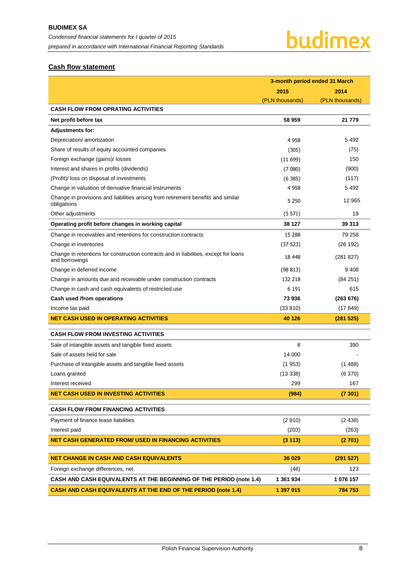# <span id="page-8-0"></span>**Cash flow statement**

|                                                                                                        | 3-month period ended 31 March |                 |  |
|--------------------------------------------------------------------------------------------------------|-------------------------------|-----------------|--|
|                                                                                                        | 2015                          | 2014            |  |
|                                                                                                        | (PLN thousands)               | (PLN thousands) |  |
| <b>CASH FLOW FROM OPRATING ACTIVITIES</b>                                                              |                               |                 |  |
| Net profit before tax                                                                                  | 58 959                        | 21 779          |  |
| <b>Adjustments for:</b>                                                                                |                               |                 |  |
| Depreciation/ amortization                                                                             | 4 9 5 8                       | 5492            |  |
| Share of results of equity accounted companies                                                         | (305)                         | (75)            |  |
| Foreign exchange (gains)/ losses                                                                       | (11699)                       | 150             |  |
| Interest and shares in profits (dividends)                                                             | (7080)                        | (900)           |  |
| (Profit)/ loss on disposal of investments                                                              | (6385)                        | (117)           |  |
| Change in valuation of derivative financial instruments                                                | 4 9 5 8                       | 5492            |  |
| Change in provisions and liabilities arising from retirement benefits and similar<br>obligations       | 5 2 5 0                       | 12 965          |  |
| Other adjustments                                                                                      | (5571)                        | 19              |  |
| Operating profit before changes in working capital                                                     | 38 127                        | 39 313          |  |
| Change in receivables and retentions for construction contracts                                        | 15 288                        | 79 258          |  |
| Change in inventories                                                                                  | (37523)                       | (26192)         |  |
| Change in retentions for construction contracts and in liabilities, except for loans<br>and borrowings | 18 448                        | (281 827)       |  |
| Change in deferred income                                                                              | (98813)                       | 9408            |  |
| Change in amounts due and receivable under construction contracts                                      | 132 218                       | (84251)         |  |
| Change in cash and cash equivalents of restricted use                                                  | 6 191                         | 615             |  |
| Cash used /from operations                                                                             | 73 936                        | (263 676)       |  |
| Income tax paid                                                                                        | (33 810)                      | (17849)         |  |
| <b>NET CASH USED IN OPERATING ACTIVITIES</b>                                                           | 40 126                        | (281525)        |  |
| <b>CASH FLOW FROM INVESTING ACTIVITIES</b>                                                             |                               |                 |  |
| Sale of intangible assets and tangible fixed assets                                                    | 8                             | 390             |  |
| Sale of assets held for sale                                                                           | 14 000                        |                 |  |
| Purchase of intangible assets and tangible fixed assets                                                | (1953)                        | (1488)          |  |
| Loans granted                                                                                          | (13338)                       | (6370)          |  |
| Interest received                                                                                      | 299                           | 167             |  |
| <b>NET CASH USED IN INVESTING ACTIVITIES</b>                                                           | (984)                         | (7301)          |  |
| <b>CASH FLOW FROM FINANCING ACTIVITIES</b>                                                             |                               |                 |  |
| Payment of finance lease liabilities                                                                   | (2910)                        | (2438)          |  |
| Interest paid                                                                                          | (203)                         | (263)           |  |
| <b>NET CASH GENERATED FROM/ USED IN FINANCING ACTIVITIES</b>                                           | (3 113)                       | (2701)          |  |
|                                                                                                        |                               |                 |  |
| <b>NET CHANGE IN CASH AND CASH EQUIVALENTS</b>                                                         | 36 029                        | (291 527)       |  |
| Foreign exchange differences, net                                                                      | (48)                          | 123             |  |
| CASH AND CASH EQUIVALENTS AT THE BEGINNING OF THE PERIOD (note 1.4)                                    | 1 361 934                     | 1 076 157       |  |
| CASH AND CASH EQUIVALENTS AT THE END OF THE PERIOD (note 1.4)                                          | 1 397 915                     | 784 753         |  |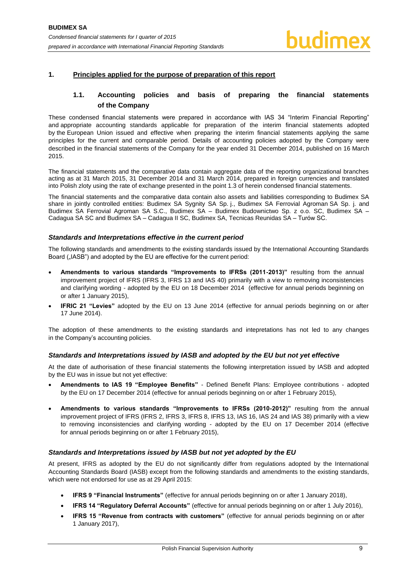## <span id="page-9-1"></span><span id="page-9-0"></span>**1. Principles applied for the purpose of preparation of this report**

# **1.1. Accounting policies and basis of preparing the financial statements of the Company**

These condensed financial statements were prepared in accordance with IAS 34 "Interim Financial Reporting" and appropriate accounting standards applicable for preparation of the interim financial statements adopted by the European Union issued and effective when preparing the interim financial statements applying the same principles for the current and comparable period. Details of accounting policies adopted by the Company were described in the financial statements of the Company for the year ended 31 December 2014, published on 16 March 2015.

The financial statements and the comparative data contain aggregate data of the reporting organizational branches acting as at 31 March 2015, 31 December 2014 and 31 March 2014, prepared in foreign currencies and translated into Polish zloty using the rate of exchange presented in the point 1.3 of herein condensed financial statements.

The financial statements and the comparative data contain also assets and liabilities corresponding to Budimex SA share in jointly controlled entities: Budimex SA Sygnity SA Sp. j., Budimex SA Ferrovial Agroman SA Sp. j. and Budimex SA Ferrovial Agroman SA S.C., Budimex SA – Budimex Budownictwo Sp. z o.o. SC, Budimex SA – Cadagua SA SC and Budimex SA – Cadagua II SC, Budimex SA, Tecnicas Reunidas SA – Turów SC.

#### *Standards and Interpretations effective in the current period*

The following standards and amendments to the existing standards issued by the International Accounting Standards Board ("IASB") and adopted by the EU are effective for the current period:

- **Amendments to various standards "Improvements to IFRSs (2011-2013)"** resulting from the annual improvement project of IFRS (IFRS 3, IFRS 13 and IAS 40) primarily with a view to removing inconsistencies and clarifying wording - adopted by the EU on 18 December 2014 (effective for annual periods beginning on or after 1 January 2015),
- **IFRIC 21 "Levies"** adopted by the EU on 13 June 2014 (effective for annual periods beginning on or after 17 June 2014).

The adoption of these amendments to the existing standards and intepretations has not led to any changes in the Company's accounting policies.

## *Standards and Interpretations issued by IASB and adopted by the EU but not yet effective*

At the date of authorisation of these financial statements the following interpretation issued by IASB and adopted by the EU was in issue but not yet effective:

- **Amendments to IAS 19 "Employee Benefits"**  Defined Benefit Plans: Employee contributions adopted by the EU on 17 December 2014 (effective for annual periods beginning on or after 1 February 2015),
- **Amendments to various standards "Improvements to IFRSs (2010-2012)"** resulting from the annual improvement project of IFRS (IFRS 2, IFRS 3, IFRS 8, IFRS 13, IAS 16, IAS 24 and IAS 38) primarily with a view to removing inconsistencies and clarifying wording - adopted by the EU on 17 December 2014 (effective for annual periods beginning on or after 1 February 2015),

#### *Standards and Interpretations issued by IASB but not yet adopted by the EU*

At present, IFRS as adopted by the EU do not significantly differ from regulations adopted by the International Accounting Standards Board (IASB) except from the following standards and amendments to the existing standards, which were not endorsed for use as at 29 April 2015:

- **IFRS 9 "Financial Instruments"** (effective for annual periods beginning on or after 1 January 2018),
- **IFRS 14 "Regulatory Deferral Accounts"** (effective for annual periods beginning on or after 1 July 2016),
- **IFRS 15 "Revenue from contracts with customers"** (effective for annual periods beginning on or after 1 January 2017),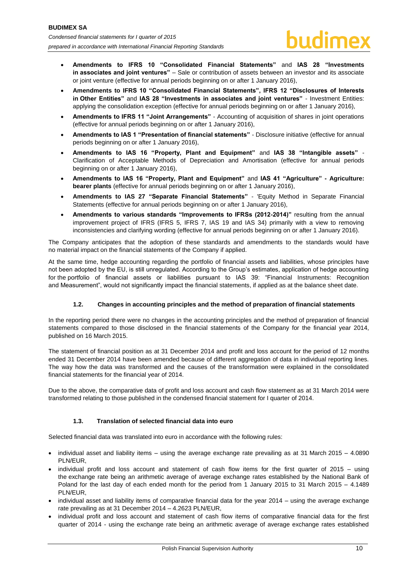- **Amendments to IFRS 10 "Consolidated Financial Statements"** and **IAS 28 "Investments in associates and joint ventures"** – Sale or contribution of assets between an investor and its associate or joint venture (effective for annual periods beginning on or after 1 January 2016),
- **Amendments to IFRS 10 "Consolidated Financial Statements", IFRS 12 "Disclosures of Interests in Other Entities"** and **IAS 28 "Investments in associates and joint ventures"** - Investment Entities: applying the consolidation exception (effective for annual periods beginning on or after 1 January 2016),
- **Amendments to IFRS 11 "Joint Arrangements"**  Accounting of acquisition of shares in joint operations (effective for annual periods beginning on or after 1 January 2016),
- **Amendments to IAS 1 "Presentation of financial statements"**  Disclosure initiative (effective for annual periods beginning on or after 1 January 2016),
- **Amendments to IAS 16 "Property, Plant and Equipment"** and **IAS 38 "Intangible assets"**  Clarification of Acceptable Methods of Depreciation and Amortisation (effective for annual periods beginning on or after 1 January 2016),
- **Amendments to IAS 16 "Property, Plant and Equipment"** and **IAS 41 "Agriculture" - Agriculture: bearer plants** (effective for annual periods beginning on or after 1 January 2016),
- **Amendments to IAS 27 "Separate Financial Statements"**  'Equity Method in Separate Financial Statements (effective for annual periods beginning on or after 1 January 2016),
- **Amendments to various standards "Improvements to IFRSs (2012-2014)"** resulting from the annual improvement project of IFRS (IFRS 5, IFRS 7, IAS 19 and IAS 34) primarily with a view to removing inconsistencies and clarifying wording (effective for annual periods beginning on or after 1 January 2016).

The Company anticipates that the adoption of these standards and amendments to the standards would have no material impact on the financial statements of the Company if applied.

At the same time, hedge accounting regarding the portfolio of financial assets and liabilities, whose principles have not been adopted by the EU, is still unregulated. According to the Group's estimates, application of hedge accounting for the portfolio of financial assets or liabilities pursuant to IAS 39: "Financial Instruments: Recognition and Measurement", would not significantly impact the financial statements, if applied as at the balance sheet date.

## **1.2. Changes in accounting principles and the method of preparation of financial statements**

<span id="page-10-0"></span>In the reporting period there were no changes in the accounting principles and the method of preparation of financial statements compared to those disclosed in the financial statements of the Company for the financial year 2014, published on 16 March 2015.

The statement of financial position as at 31 December 2014 and profit and loss account for the period of 12 months ended 31 December 2014 have been amended because of different aggregation of data in individual reporting lines. The way how the data was transformed and the causes of the transformation were explained in the consolidated financial statements for the financial year of 2014.

Due to the above, the comparative data of profit and loss account and cash flow statement as at 31 March 2014 were transformed relating to those published in the condensed financial statement for I quarter of 2014.

## **1.3. Translation of selected financial data into euro**

<span id="page-10-1"></span>Selected financial data was translated into euro in accordance with the following rules:

- $\bullet$  individual asset and liability items using the average exchange rate prevailing as at 31 March 2015 4.0890 PLN/EUR,
- individual profit and loss account and statement of cash flow items for the first quarter of 2015 using the exchange rate being an arithmetic average of average exchange rates established by the National Bank of Poland for the last day of each ended month for the period from 1 January 2015 to 31 March 2015 – 4.1489 PLN/EUR,
- individual asset and liability items of comparative financial data for the year 2014 using the average exchange rate prevailing as at 31 December 2014 – 4.2623 PLN/EUR,
- individual profit and loss account and statement of cash flow items of comparative financial data for the first quarter of 2014 - using the exchange rate being an arithmetic average of average exchange rates established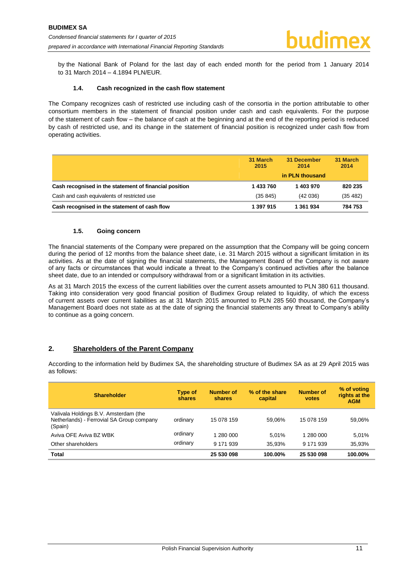by the National Bank of Poland for the last day of each ended month for the period from 1 January 2014 to 31 March 2014 – 4.1894 PLN/EUR.

#### **1.4. Cash recognized in the cash flow statement**

<span id="page-11-0"></span>The Company recognizes cash of restricted use including cash of the consortia in the portion attributable to other consortium members in the statement of financial position under cash and cash equivalents. For the purpose of the statement of cash flow – the balance of cash at the beginning and at the end of the reporting period is reduced by cash of restricted use, and its change in the statement of financial position is recognized under cash flow from operating activities.

|                                                        | 31 March<br>2015 | 31 December<br>2014 | 31 March<br>2014 |
|--------------------------------------------------------|------------------|---------------------|------------------|
|                                                        |                  | in PLN thousand     |                  |
| Cash recognised in the statement of financial position | 1 433 760        | 1 403 970           | 820 235          |
| Cash and cash equivalents of restricted use            | (35845)          | (42036)             | (35 482)         |
| Cash recognised in the statement of cash flow          | 1 397 915        | 1 361 934           | 784 753          |

#### **1.5. Going concern**

<span id="page-11-1"></span>The financial statements of the Company were prepared on the assumption that the Company will be going concern during the period of 12 months from the balance sheet date, i.e. 31 March 2015 without a significant limitation in its activities. As at the date of signing the financial statements, the Management Board of the Company is not aware of any facts or circumstances that would indicate a threat to the Company's continued activities after the balance sheet date, due to an intended or compulsory withdrawal from or a significant limitation in its activities.

As at 31 March 2015 the excess of the current liabilities over the current assets amounted to PLN 380 611 thousand. Taking into consideration very good financial position of Budimex Group related to liquidity, of which the excess of current assets over current liabilities as at 31 March 2015 amounted to PLN 285 560 thousand, the Company's Management Board does not state as at the date of signing the financial statements any threat to Company's ability to continue as a going concern.

# <span id="page-11-2"></span>**2. Shareholders of the Parent Company**

According to the information held by Budimex SA, the shareholding structure of Budimex SA as at 29 April 2015 was as follows:

| <b>Shareholder</b>                                                                            | Type of<br>shares | Number of<br>shares | % of the share<br>capital | <b>Number of</b><br><b>votes</b> | % of voting<br>rights at the<br><b>AGM</b> |
|-----------------------------------------------------------------------------------------------|-------------------|---------------------|---------------------------|----------------------------------|--------------------------------------------|
| Valivala Holdings B.V. Amsterdam (the<br>Netherlands) - Ferrovial SA Group company<br>(Spain) | ordinary          | 15 078 159          | 59.06%                    | 15 078 159                       | 59,06%                                     |
| Aviva OFE Aviva BZ WBK                                                                        | ordinary          | 1 280 000           | 5.01%                     | 1 280 000                        | 5,01%                                      |
| Other shareholders                                                                            | ordinary          | 9 171 939           | 35.93%                    | 9 171 939                        | 35,93%                                     |
| <b>Total</b>                                                                                  |                   | 25 530 098          | 100.00%                   | 25 530 098                       | 100.00%                                    |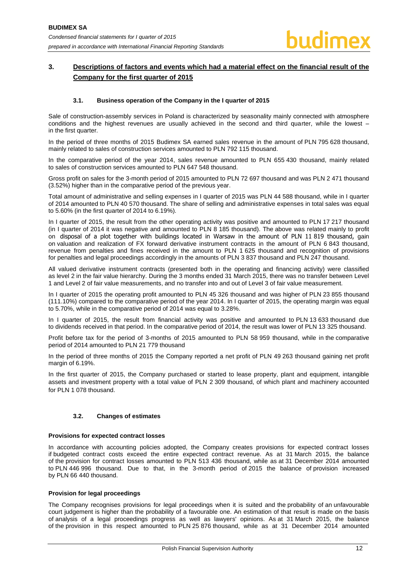# <span id="page-12-0"></span>**3. Descriptions of factors and events which had a material effect on the financial result of the Company for the first quarter of 2015**

#### **3.1. Business operation of the Company in the I quarter of 2015**

<span id="page-12-1"></span>Sale of construction-assembly services in Poland is characterized by seasonality mainly connected with atmosphere conditions and the highest revenues are usually achieved in the second and third quarter, while the lowest – in the first quarter.

In the period of three months of 2015 Budimex SA earned sales revenue in the amount of PLN 795 628 thousand, mainly related to sales of construction services amounted to PLN 792 115 thousand.

In the comparative period of the year 2014, sales revenue amounted to PLN 655 430 thousand, mainly related to sales of construction services amounted to PLN 647 548 thousand.

Gross profit on sales for the 3-month period of 2015 amounted to PLN 72 697 thousand and was PLN 2 471 thousand (3.52%) higher than in the comparative period of the previous year.

Total amount of administrative and selling expenses in I quarter of 2015 was PLN 44 588 thousand, while in I quarter of 2014 amounted to PLN 40 570 thousand. The share of selling and administrative expenses in total sales was equal to 5.60% (in the first quarter of 2014 to 6.19%).

In I quarter of 2015, the result from the other operating activity was positive and amounted to PLN 17 217 thousand (in I quarter of 2014 it was negative and amounted to PLN 8 185 thousand). The above was related mainly to profit on disposal of a plot together with buildings located in Warsaw in the amount of PLN 11 819 thousand, gain on valuation and realization of FX forward derivative instrument contracts in the amount of PLN 6 843 thousand, revenue from penalties and fines received in the amount to PLN 1 625 thousand and recognition of provisions for penalties and legal proceedings accordingly in the amounts of PLN 3 837 thousand and PLN 247 thousand.

All valued derivative instrument contracts (presented both in the operating and financing activity) were classified as level 2 in the fair value hierarchy. During the 3 months ended 31 March 2015, there was no transfer between Level 1 and Level 2 of fair value measurements, and no transfer into and out of Level 3 of fair value measurement.

In I quarter of 2015 the operating profit amounted to PLN 45 326 thousand and was higher of PLN 23 855 thousand (111.10%) compared to the comparative period of the year 2014. In I quarter of 2015, the operating margin was equal to 5.70%, while in the comparative period of 2014 was equal to 3.28%.

In I quarter of 2015, the result from financial activity was positive and amounted to PLN 13 633 thousand due to dividends received in that period. In the comparative period of 2014, the result was lower of PLN 13 325 thousand.

Profit before tax for the period of 3-months of 2015 amounted to PLN 58 959 thousand, while in the comparative period of 2014 amounted to PLN 21 779 thousand

In the period of three months of 2015 the Company reported a net profit of PLN 49 263 thousand gaining net profit margin of 6.19%.

In the first quarter of 2015, the Company purchased or started to lease property, plant and equipment, intangible assets and investment property with a total value of PLN 2 309 thousand, of which plant and machinery accounted for PLN 1 078 thousand.

#### **3.2. Changes of estimates**

#### <span id="page-12-2"></span>**Provisions for expected contract losses**

In accordance with accounting policies adopted, the Company creates provisions for expected contract losses if budgeted contract costs exceed the entire expected contract revenue. As at 31 March 2015, the balance of the provision for contract losses amounted to PLN 513 436 thousand, while as at 31 December 2014 amounted to PLN 446 996 thousand. Due to that, in the 3-month period of 2015 the balance of provision increased by PLN 66 440 thousand.

#### **Provision for legal proceedings**

The Company recognises provisions for legal proceedings when it is suited and the probability of an unfavourable court judgement is higher than the probability of a favourable one. An estimation of that result is made on the basis of analysis of a legal proceedings progress as well as lawyers' opinions. As at 31 March 2015, the balance of the provision in this respect amounted to PLN 25 876 thousand, while as at 31 December 2014 amounted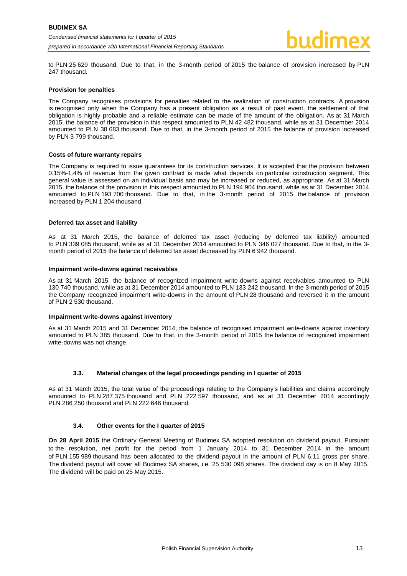to PLN 25 629 thousand. Due to that, in the 3-month period of 2015 the balance of provision increased by PLN 247 thousand.

#### **Provision for penalties**

The Company recognises provisions for penalties related to the realization of construction contracts. A provision is recognised only when the Company has a present obligation as a result of past event, the settlement of that obligation is highly probable and a reliable estimate can be made of the amount of the obligation. As at 31 March 2015, the balance of the provision in this respect amounted to PLN 42 482 thousand, while as at 31 December 2014 amounted to PLN 38 683 thousand. Due to that, in the 3-month period of 2015 the balance of provision increased by PLN 3 799 thousand.

#### **Costs of future warranty repairs**

The Company is required to issue guarantees for its construction services. It is accepted that the provision between 0.15%-1.4% of revenue from the given contract is made what depends on particular construction segment. This general value is assessed on an individual basis and may be increased or reduced, as appropriate. As at 31 March 2015, the balance of the provision in this respect amounted to PLN 194 904 thousand, while as at 31 December 2014 amounted to PLN 193 700 thousand. Due to that, in the 3-month period of 2015 the balance of provision increased by PLN 1 204 thousand.

#### **Deferred tax asset and liability**

As at 31 March 2015, the balance of deferred tax asset (reducing by deferred tax liability) amounted to PLN 339 085 thousand, while as at 31 December 2014 amounted to PLN 346 027 thousand. Due to that, in the 3 month period of 2015 the balance of deferred tax asset decreased by PLN 6 942 thousand.

#### **Impairment write-downs against receivables**

As at 31 March 2015, the balance of recognized impairment write-downs against receivables amounted to PLN 130 740 thousand, while as at 31 December 2014 amounted to PLN 133 242 thousand. In the 3-month period of 2015 the Company recognized impairment write-downs in the amount of PLN 28 thousand and reversed it in the amount of PLN 2 530 thousand.

#### **Impairment write-downs against inventory**

As at 31 March 2015 and 31 December 2014, the balance of recognised impairment write-downs against inventory amounted to PLN 385 thousand. Due to that, in the 3-month period of 2015 the balance of recognized impairment write-downs was not change.

#### **3.3. Material changes of the legal proceedings pending in I quarter of 2015**

<span id="page-13-0"></span>As at 31 March 2015, the total value of the proceedings relating to the Company's liabilities and claims accordingly amounted to PLN 287 375 thousand and PLN 222 597 thousand, and as at 31 December 2014 accordingly PLN 286 250 thousand and PLN 222 646 thousand.

#### **3.4. Other events for the I quarter of 2015**

<span id="page-13-1"></span>**On 28 April 2015** the Ordinary General Meeting of Budimex SA adopted resolution on dividend payout. Pursuant to the resolution, net profit for the period from 1 January 2014 to 31 December 2014 in the amount of PLN 155 989 thousand has been allocated to the dividend payout in the amount of PLN 6.11 gross per share. The dividend payout will cover all Budimex SA shares, i.e. 25 530 098 shares. The dividend day is on 8 May 2015. The dividend will be paid on 25 May 2015.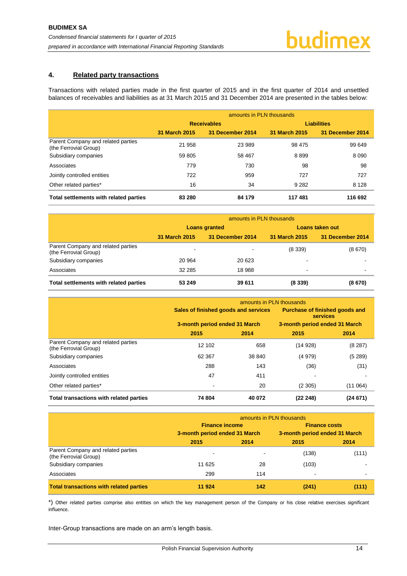## <span id="page-14-0"></span>**4. Related party transactions**

Transactions with related parties made in the first quarter of 2015 and in the first quarter of 2014 and unsettled balances of receivables and liabilities as at 31 March 2015 and 31 December 2014 are presented in the tables below:

|                                                             | amounts in PLN thousands |                    |                    |                  |  |  |  |
|-------------------------------------------------------------|--------------------------|--------------------|--------------------|------------------|--|--|--|
|                                                             |                          | <b>Receivables</b> | <b>Liabilities</b> |                  |  |  |  |
|                                                             | 31 March 2015            | 31 December 2014   | 31 March 2015      | 31 December 2014 |  |  |  |
| Parent Company and related parties<br>(the Ferrovial Group) | 21 958                   | 23 989             | 98 475             | 99 649           |  |  |  |
| Subsidiary companies                                        | 59 805                   | 58 467             | 8899               | 8 0 9 0          |  |  |  |
| Associates                                                  | 779                      | 730                | 98                 | 98               |  |  |  |
| Jointly controlled entities                                 | 722                      | 959                | 727                | 727              |  |  |  |
| Other related parties*                                      | 16                       | 34                 | 9 2 8 2            | 8 1 2 8          |  |  |  |
| Total settlements with related parties                      | 83 280                   | 84 179             | 117481             | 116 692          |  |  |  |

|                                                             | amounts in PLN thousands |                  |                          |                  |
|-------------------------------------------------------------|--------------------------|------------------|--------------------------|------------------|
|                                                             | <b>Loans granted</b>     |                  | Loans taken out          |                  |
|                                                             | 31 March 2015            | 31 December 2014 | 31 March 2015            | 31 December 2014 |
| Parent Company and related parties<br>(the Ferrovial Group) | $\overline{\phantom{0}}$ | -                | (8339)                   | (8670)           |
| Subsidiary companies                                        | 20 964                   | 20 623           | $\overline{\phantom{a}}$ |                  |
| Associates                                                  | 32 285                   | 18 988           | $\blacksquare$           |                  |
| Total settlements with related parties                      | 53 249                   | 39 611           | (8339)                   | (8670)           |

|                                                             | amounts in PLN thousands                                              |        |                                                                                           |         |
|-------------------------------------------------------------|-----------------------------------------------------------------------|--------|-------------------------------------------------------------------------------------------|---------|
|                                                             | Sales of finished goods and services<br>3-month period ended 31 March |        | <b>Purchase of finished goods and</b><br><b>services</b><br>3-month period ended 31 March |         |
|                                                             |                                                                       |        |                                                                                           |         |
|                                                             | 2015                                                                  | 2014   | 2015                                                                                      | 2014    |
| Parent Company and related parties<br>(the Ferrovial Group) | 12 102                                                                | 658    | (14928)                                                                                   | (8287)  |
| Subsidiary companies                                        | 62 367                                                                | 38 840 | (4979)                                                                                    | (5289)  |
| Associates                                                  | 288                                                                   | 143    | (36)                                                                                      | (31)    |
| Jointly controlled entities                                 | 47                                                                    | 411    |                                                                                           |         |
| Other related parties*                                      |                                                                       | 20     | (2305)                                                                                    | (11064) |
| Total transactions with related parties                     | 74 804                                                                | 40 072 | (22 248)                                                                                  | (24671) |

|                                                             | amounts in PLN thousands                               |      |                               |       |
|-------------------------------------------------------------|--------------------------------------------------------|------|-------------------------------|-------|
|                                                             | <b>Finance income</b><br>3-month period ended 31 March |      | <b>Finance costs</b>          |       |
|                                                             |                                                        |      | 3-month period ended 31 March |       |
|                                                             | 2015                                                   | 2014 | 2015                          | 2014  |
| Parent Company and related parties<br>(the Ferrovial Group) |                                                        |      | (138)                         | (111) |
| Subsidiary companies                                        | 11 625                                                 | 28   | (103)                         |       |
| Associates                                                  | 299                                                    | 114  | ۰                             |       |
| <b>Total transactions with related parties</b>              | 11 9 24                                                | 142  | (241)                         | (111) |

\*) Other related parties comprise also entities on which the key management person of the Company or his close relative exercises significant influence.

Inter-Group transactions are made on an arm's length basis.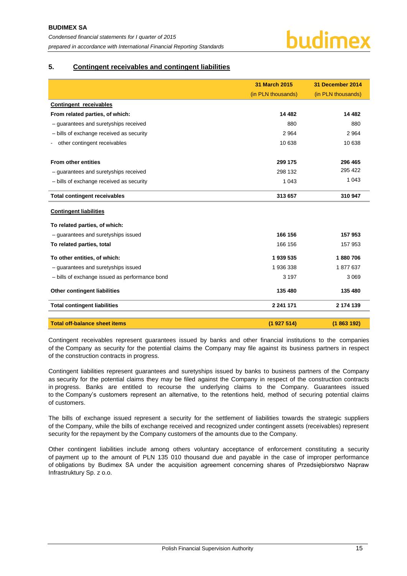## <span id="page-15-0"></span>**5. Contingent receivables and contingent liabilities**

|                                                | 31 March 2015      | 31 December 2014   |
|------------------------------------------------|--------------------|--------------------|
|                                                | (in PLN thousands) | (in PLN thousands) |
| Contingent receivables                         |                    |                    |
| From related parties, of which:                | 14 482             | 14 4 8 2           |
| - guarantees and suretyships received          | 880                | 880                |
| - bills of exchange received as security       | 2 9 64             | 2 9 6 4            |
| other contingent receivables                   | 10 638             | 10 638             |
| <b>From other entities</b>                     | 299 175            | 296 465            |
| - guarantees and suretyships received          | 298 132            | 295 422            |
| - bills of exchange received as security       | 1 0 4 3            | 1 0 4 3            |
| <b>Total contingent receivables</b>            | 313 657            | 310 947            |
| <b>Contingent liabilities</b>                  |                    |                    |
| To related parties, of which:                  |                    |                    |
| - guarantees and suretyships issued            | 166 156            | 157 953            |
| To related parties, total                      | 166 156            | 157 953            |
| To other entities, of which:                   | 1 939 535          | 1880706            |
| - guarantees and suretyships issued            | 1936338            | 1877637            |
| - bills of exchange issued as performance bond | 3 1 9 7            | 3 0 6 9            |
| Other contingent liabilities                   | 135 480            | 135 480            |
| <b>Total contingent liabilities</b>            | 2 241 171          | 2 174 139          |
| <b>Total off-balance sheet items</b>           | (1927514)          | (1863192)          |

Contingent receivables represent guarantees issued by banks and other financial institutions to the companies of the Company as security for the potential claims the Company may file against its business partners in respect of the construction contracts in progress.

Contingent liabilities represent guarantees and suretyships issued by banks to business partners of the Company as security for the potential claims they may be filed against the Company in respect of the construction contracts in progress. Banks are entitled to recourse the underlying claims to the Company. Guarantees issued to the Company's customers represent an alternative, to the retentions held, method of securing potential claims of customers.

The bills of exchange issued represent a security for the settlement of liabilities towards the strategic suppliers of the Company, while the bills of exchange received and recognized under contingent assets (receivables) represent security for the repayment by the Company customers of the amounts due to the Company.

Other contingent liabilities include among others voluntary acceptance of enforcement constituting a security of payment up to the amount of PLN 135 010 thousand due and payable in the case of improper performance of obligations by Budimex SA under the acquisition agreement concerning shares of Przedsiębiorstwo Napraw Infrastruktury Sp. z o.o.